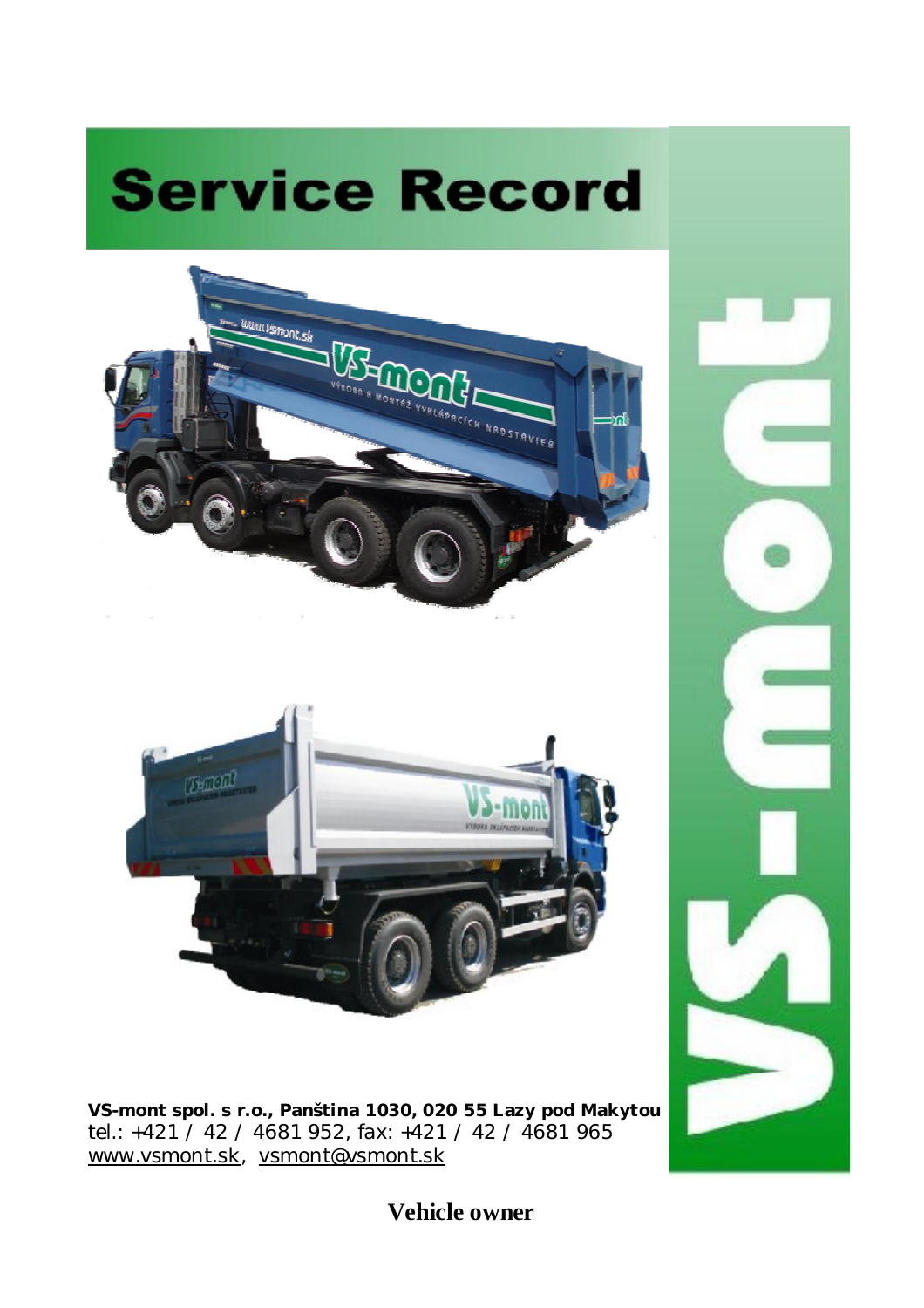





**VS-mont spol. s r.o., Panština 1030, 020 55 Lazy pod Makytou** tel.: +421 / 42 / 4681 952, fax: +421 / 42 / 4681 965 [www.vsmont.sk](http://www.vsmont.sk), [vsmont@vsmont.sk](mailto:vsmont@vsmont.sk)



**Vehicle owner**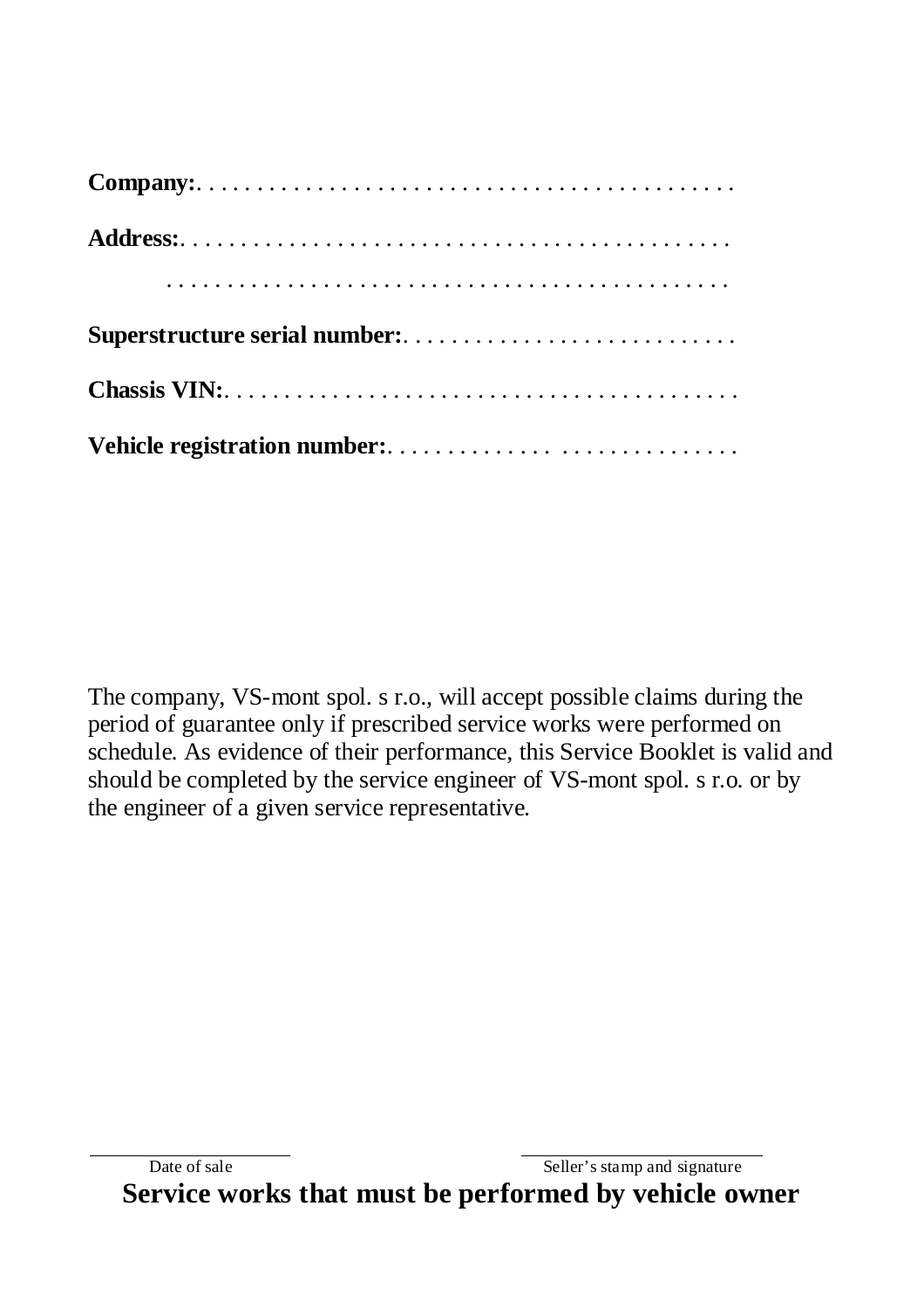The company, VS-mont spol. s r.o., will accept possible claims during the period of guarantee only if prescribed service works were performed on schedule. As evidence of their performance, this Service Booklet is valid and should be completed by the service engineer of VS-mont spol. s r.o. or by the engineer of a given service representative.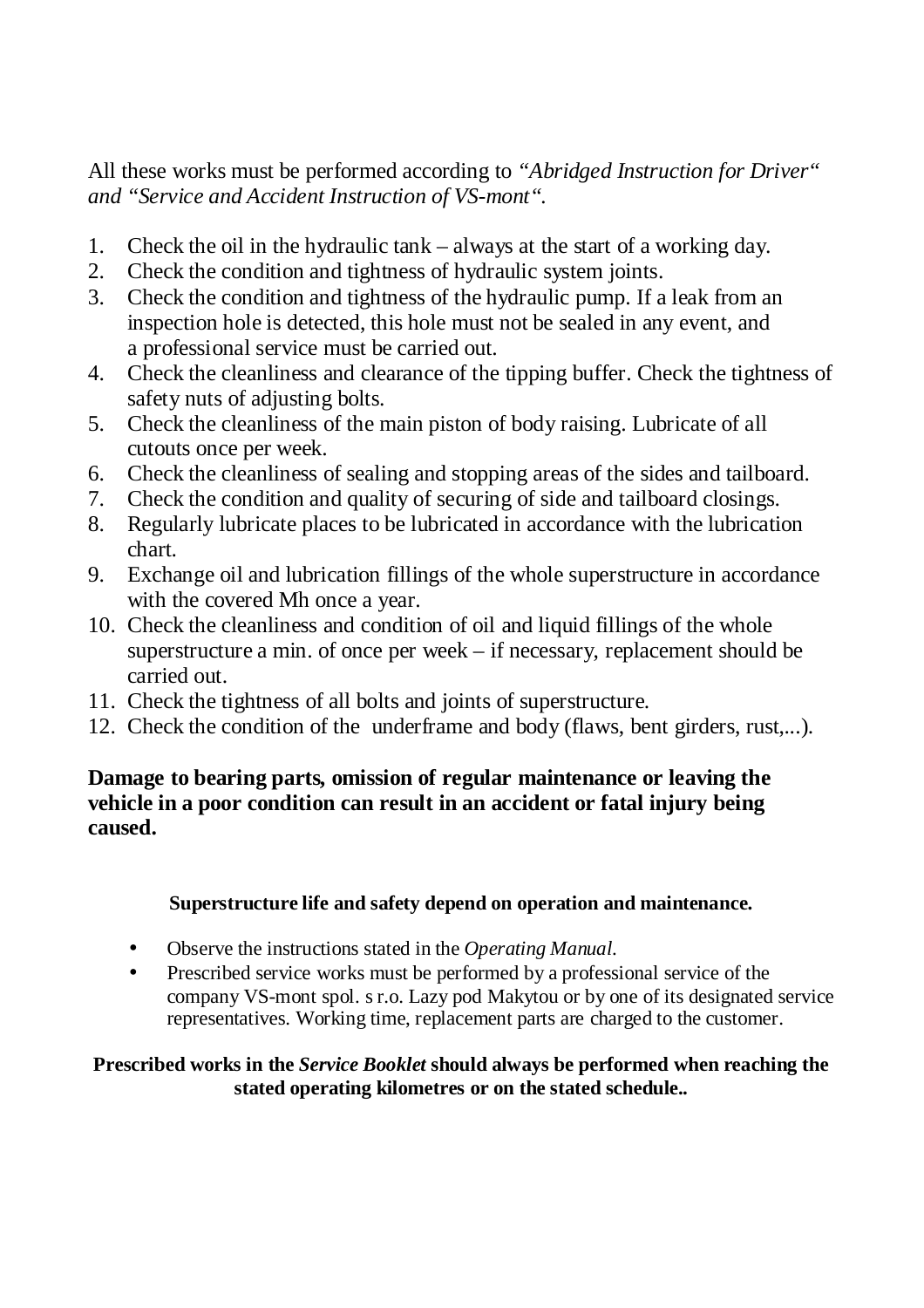All these works must be performed according to *"Abridged Instruction for Driver" and "Service and Accident Instruction of VS-mont".*

- 1. Check the oil in the hydraulic tank always at the start of a working day.
- 2. Check the condition and tightness of hydraulic system joints.
- 3. Check the condition and tightness of the hydraulic pump. If a leak from an inspection hole is detected, this hole must not be sealed in any event, and a professional service must be carried out.
- 4. Check the cleanliness and clearance of the tipping buffer. Check the tightness of safety nuts of adjusting bolts.
- 5. Check the cleanliness of the main piston of body raising. Lubricate of all cutouts once per week.
- 6. Check the cleanliness of sealing and stopping areas of the sides and tailboard.
- 7. Check the condition and quality of securing of side and tailboard closings.
- 8. Regularly lubricate places to be lubricated in accordance with the lubrication chart.
- 9. Exchange oil and lubrication fillings of the whole superstructure in accordance with the covered Mh once a year.
- 10. Check the cleanliness and condition of oil and liquid fillings of the whole superstructure a min. of once per week – if necessary, replacement should be carried out.
- 11. Check the tightness of all bolts and joints of superstructure.
- 12. Check the condition of the underframe and body (flaws, bent girders, rust,...).

## **Damage to bearing parts, omission of regular maintenance or leaving the vehicle in a poor condition can result in an accident or fatal injury being caused.**

## **Superstructure life and safety depend on operation and maintenance.**

- Observe the instructions stated in the *Operating Manual*.
- Prescribed service works must be performed by a professional service of the company VS-mont spol. s r.o. Lazy pod Makytou or by one of its designated service representatives. Working time, replacement parts are charged to the customer.

### **Prescribed works in the** *Service Booklet* **should always be performed when reaching the stated operating kilometres or on the stated schedule..**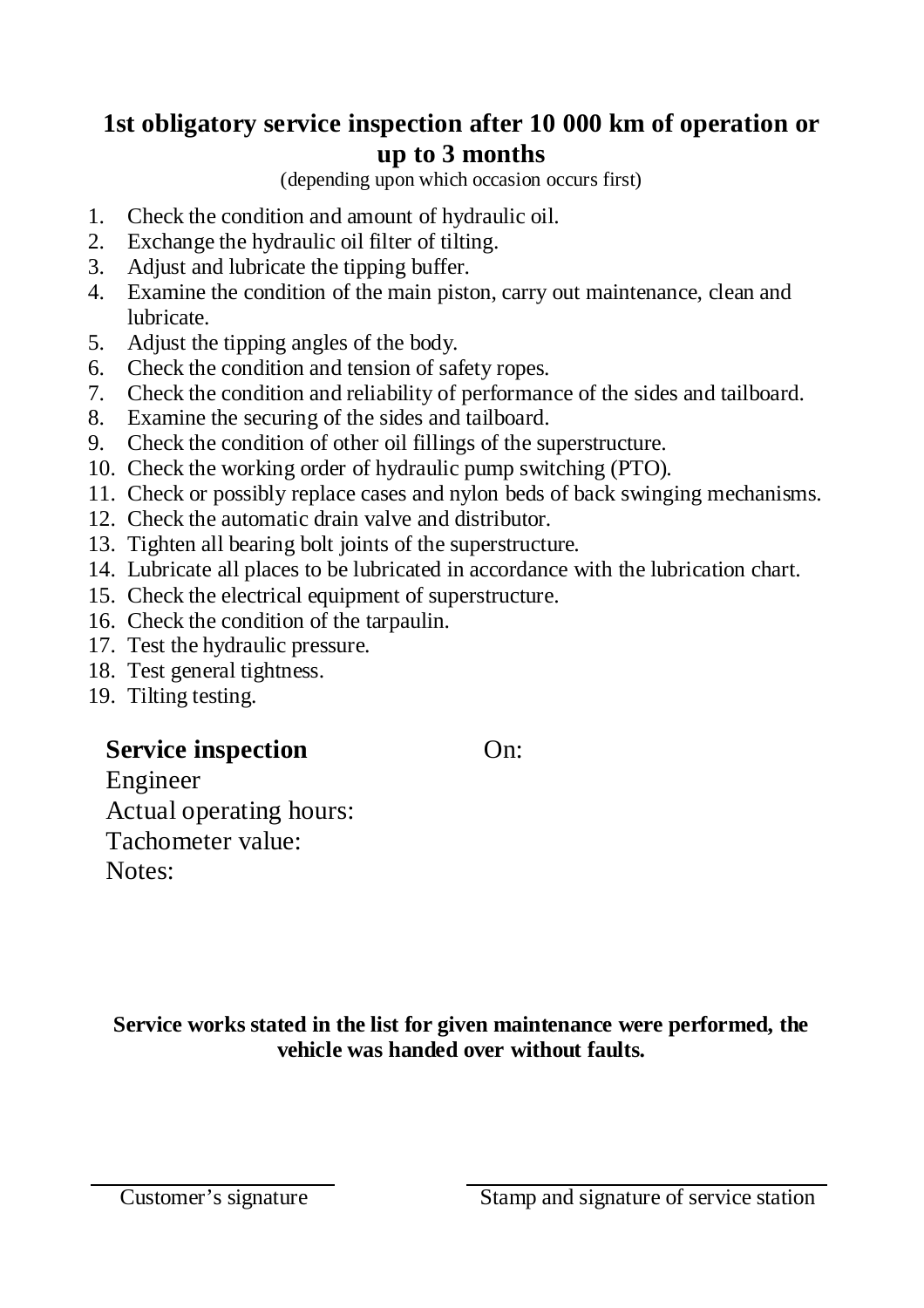# **1st obligatory service inspection after 10 000 km of operation or up to 3 months**

(depending upon which occasion occurs first)

- 1. Check the condition and amount of hydraulic oil.
- 2. Exchange the hydraulic oil filter of tilting.
- 3. Adjust and lubricate the tipping buffer.
- 4. Examine the condition of the main piston, carry out maintenance, clean and lubricate.
- 5. Adjust the tipping angles of the body.
- 6. Check the condition and tension of safety ropes.
- 7. Check the condition and reliability of performance of the sides and tailboard.
- 8. Examine the securing of the sides and tailboard.
- 9. Check the condition of other oil fillings of the superstructure.
- 10. Check the working order of hydraulic pump switching (PTO).
- 11. Check or possibly replace cases and nylon beds of back swinging mechanisms.
- 12. Check the automatic drain valve and distributor.
- 13. Tighten all bearing bolt joints of the superstructure.
- 14. Lubricate all places to be lubricated in accordance with the lubrication chart.
- 15. Check the electrical equipment of superstructure.
- 16. Check the condition of the tarpaulin.
- 17. Test the hydraulic pressure.
- 18. Test general tightness.
- 19. Tilting testing.

# **Service inspection** On:

Engineer Actual operating hours: Tachometer value: Notes:

**Service works stated in the list for given maintenance were performed, the vehicle was handed over without faults.**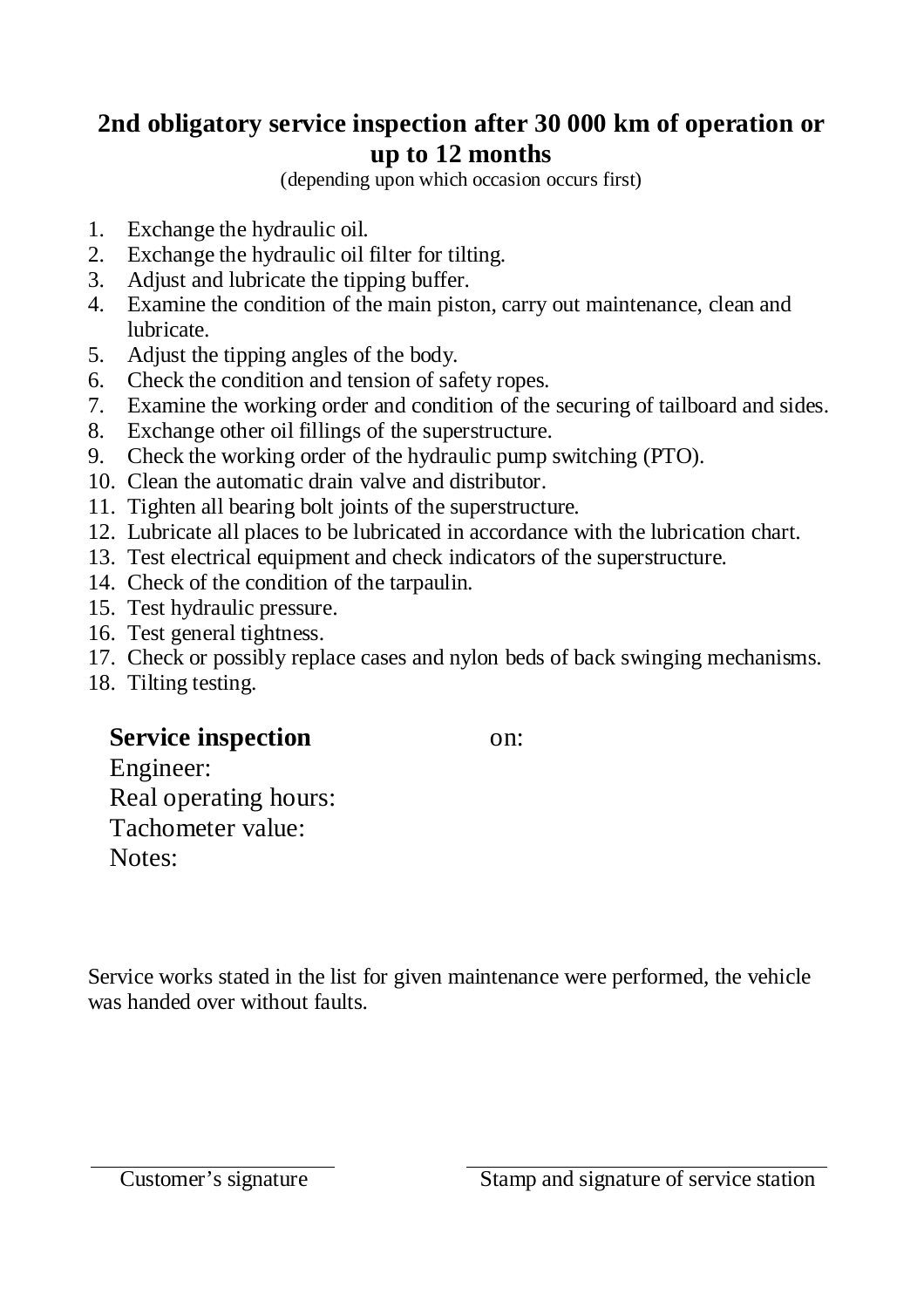# **2nd obligatory service inspection after 30 000 km of operation or up to 12 months**

(depending upon which occasion occurs first)

- 1. Exchange the hydraulic oil.
- 2. Exchange the hydraulic oil filter for tilting.
- 3. Adjust and lubricate the tipping buffer.
- 4. Examine the condition of the main piston, carry out maintenance, clean and lubricate.
- 5. Adjust the tipping angles of the body.
- 6. Check the condition and tension of safety ropes.
- 7. Examine the working order and condition of the securing of tailboard and sides.
- 8. Exchange other oil fillings of the superstructure.
- 9. Check the working order of the hydraulic pump switching (PTO).
- 10. Clean the automatic drain valve and distributor.
- 11. Tighten all bearing bolt joints of the superstructure.
- 12. Lubricate all places to be lubricated in accordance with the lubrication chart.
- 13. Test electrical equipment and check indicators of the superstructure.
- 14. Check of the condition of the tarpaulin.
- 15. Test hydraulic pressure.
- 16. Test general tightness.
- 17. Check or possibly replace cases and nylon beds of back swinging mechanisms.
- 18. Tilting testing.

# **Service inspection** on:

Engineer: Real operating hours: Tachometer value: Notes:

Service works stated in the list for given maintenance were performed, the vehicle was handed over without faults.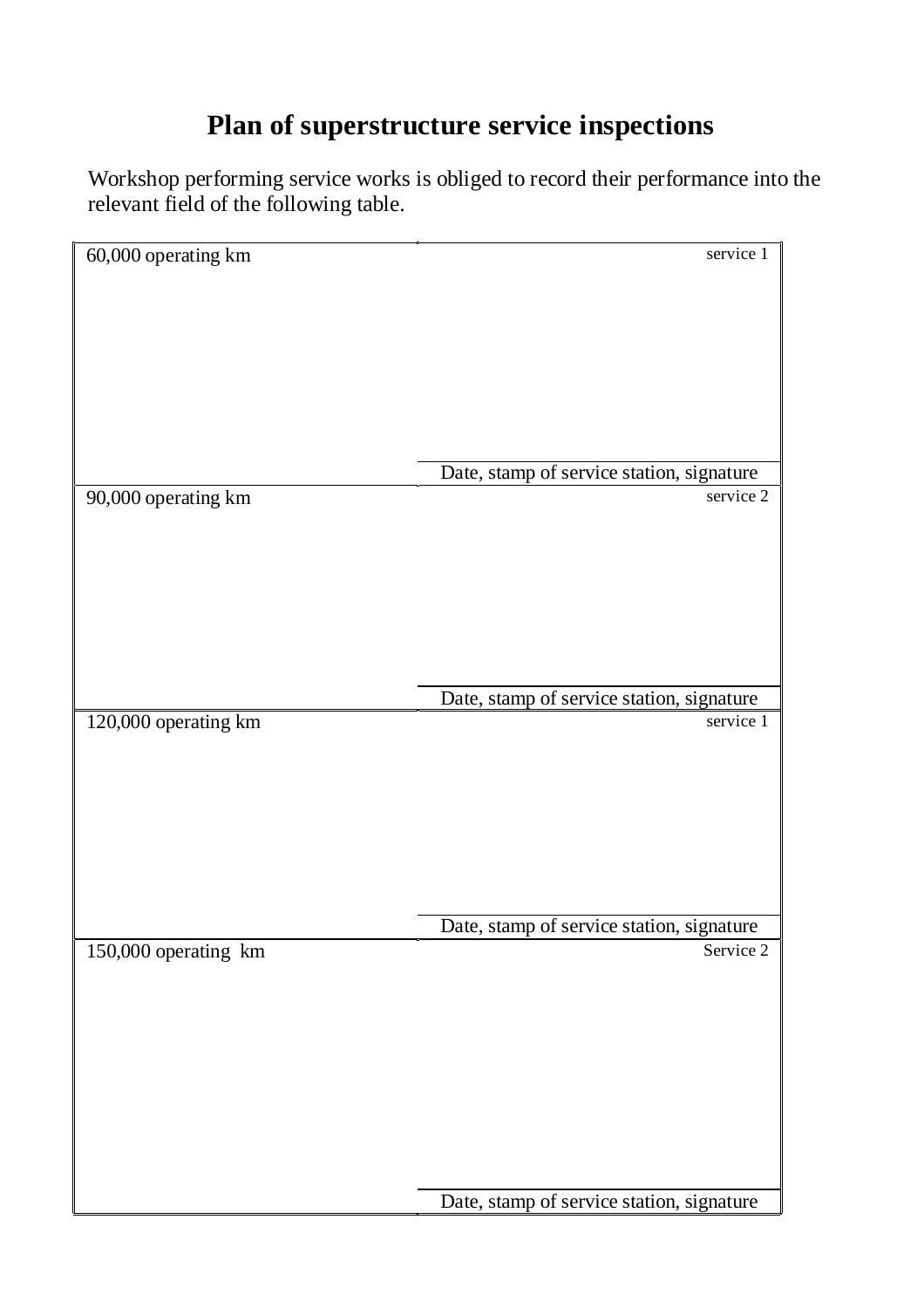# **Plan of superstructure service inspections**

Workshop performing service works is obliged to record their performance into the relevant field of the following table.

| 60,000 operating km  | service 1                                 |
|----------------------|-------------------------------------------|
|                      |                                           |
|                      |                                           |
|                      |                                           |
|                      |                                           |
|                      |                                           |
|                      |                                           |
|                      |                                           |
|                      |                                           |
|                      |                                           |
|                      |                                           |
|                      |                                           |
|                      |                                           |
|                      | Date, stamp of service station, signature |
|                      |                                           |
| 90,000 operating km  | service 2                                 |
|                      |                                           |
|                      |                                           |
|                      |                                           |
|                      |                                           |
|                      |                                           |
|                      |                                           |
|                      |                                           |
|                      |                                           |
|                      |                                           |
|                      |                                           |
|                      |                                           |
|                      | Date, stamp of service station, signature |
|                      | service 1                                 |
| 120,000 operating km |                                           |
|                      |                                           |
|                      |                                           |
|                      |                                           |
|                      |                                           |
|                      |                                           |
|                      |                                           |
|                      |                                           |
|                      |                                           |
|                      |                                           |
|                      |                                           |
|                      |                                           |
|                      | Date, stamp of service station, signature |
|                      |                                           |
| 150,000 operating km | Service 2                                 |
|                      |                                           |
|                      |                                           |
|                      |                                           |
|                      |                                           |
|                      |                                           |
|                      |                                           |
|                      |                                           |
|                      |                                           |
|                      |                                           |
|                      |                                           |
|                      |                                           |
|                      |                                           |
|                      |                                           |
|                      |                                           |
|                      | Date, stamp of service station, signature |
|                      |                                           |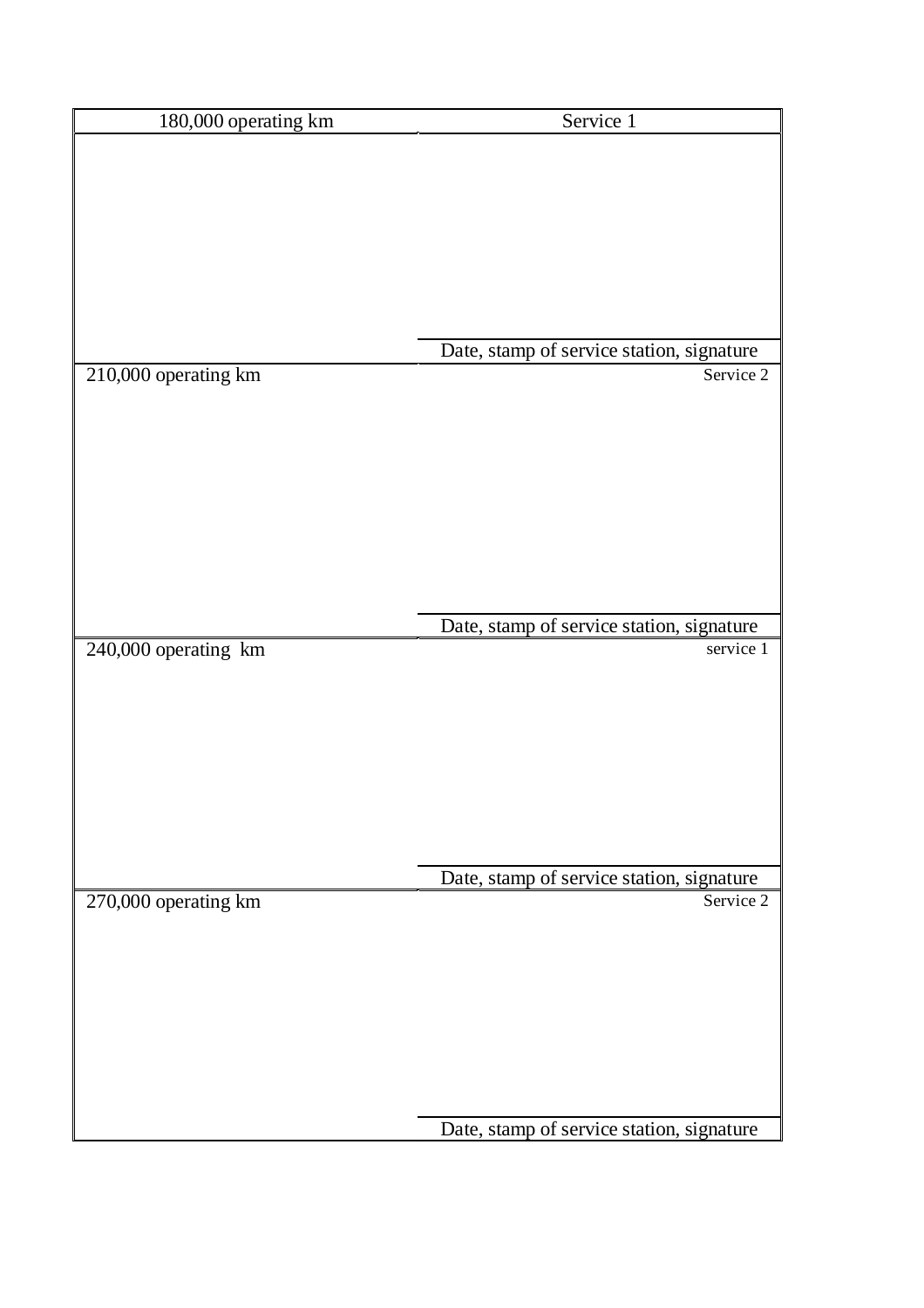| 180,000 operating km | Service 1                                 |
|----------------------|-------------------------------------------|
|                      |                                           |
|                      |                                           |
|                      |                                           |
|                      |                                           |
|                      |                                           |
|                      |                                           |
|                      |                                           |
|                      |                                           |
|                      | Date, stamp of service station, signature |
| 210,000 operating km | Service 2                                 |
|                      |                                           |
|                      |                                           |
|                      |                                           |
|                      |                                           |
|                      |                                           |
|                      |                                           |
|                      |                                           |
|                      |                                           |
|                      | Date, stamp of service station, signature |
| 240,000 operating km | service 1                                 |
|                      |                                           |
|                      |                                           |
|                      |                                           |
|                      |                                           |
|                      |                                           |
|                      |                                           |
|                      |                                           |
|                      | Date, stamp of service station, signature |
| 270,000 operating km | Service 2                                 |
|                      |                                           |
|                      |                                           |
|                      |                                           |
|                      |                                           |
|                      |                                           |
|                      |                                           |
|                      |                                           |
|                      |                                           |
|                      | Date, stamp of service station, signature |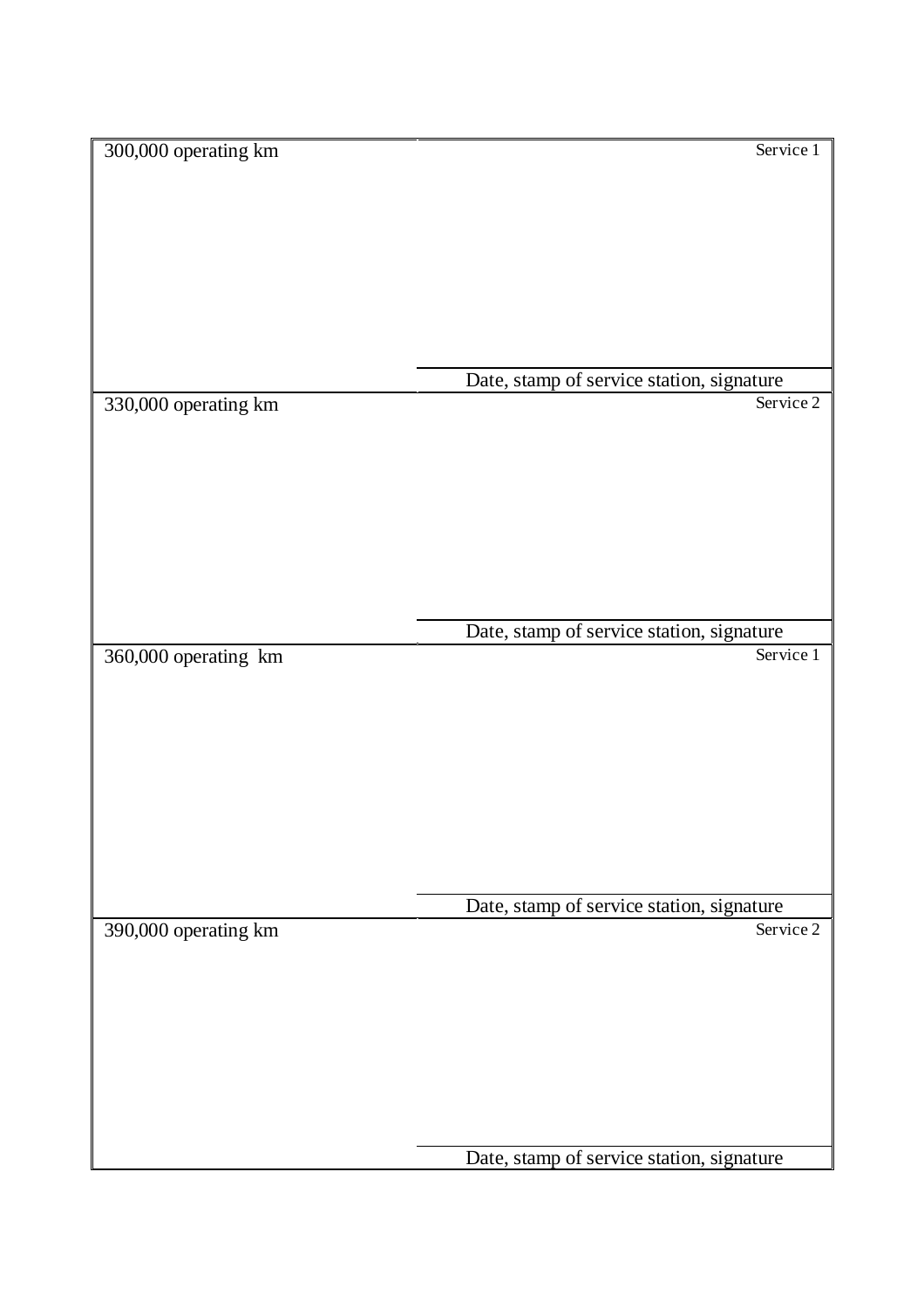| 300,000 operating km | Service 1                                 |
|----------------------|-------------------------------------------|
|                      |                                           |
|                      |                                           |
|                      |                                           |
|                      |                                           |
|                      |                                           |
|                      |                                           |
|                      |                                           |
|                      |                                           |
|                      |                                           |
|                      |                                           |
|                      |                                           |
|                      |                                           |
|                      | Date, stamp of service station, signature |
| 330,000 operating km | Service 2                                 |
|                      |                                           |
|                      |                                           |
|                      |                                           |
|                      |                                           |
|                      |                                           |
|                      |                                           |
|                      |                                           |
|                      |                                           |
|                      |                                           |
|                      |                                           |
|                      |                                           |
|                      |                                           |
|                      | Date, stamp of service station, signature |
| 360,000 operating km | Service 1                                 |
|                      |                                           |
|                      |                                           |
|                      |                                           |
|                      |                                           |
|                      |                                           |
|                      |                                           |
|                      |                                           |
|                      |                                           |
|                      |                                           |
|                      |                                           |
|                      |                                           |
|                      |                                           |
|                      |                                           |
|                      | Date, stamp of service station, signature |
| 390,000 operating km | Service 2                                 |
|                      |                                           |
|                      |                                           |
|                      |                                           |
|                      |                                           |
|                      |                                           |
|                      |                                           |
|                      |                                           |
|                      |                                           |
|                      |                                           |
|                      |                                           |
|                      |                                           |
|                      |                                           |
|                      | Date, stamp of service station, signature |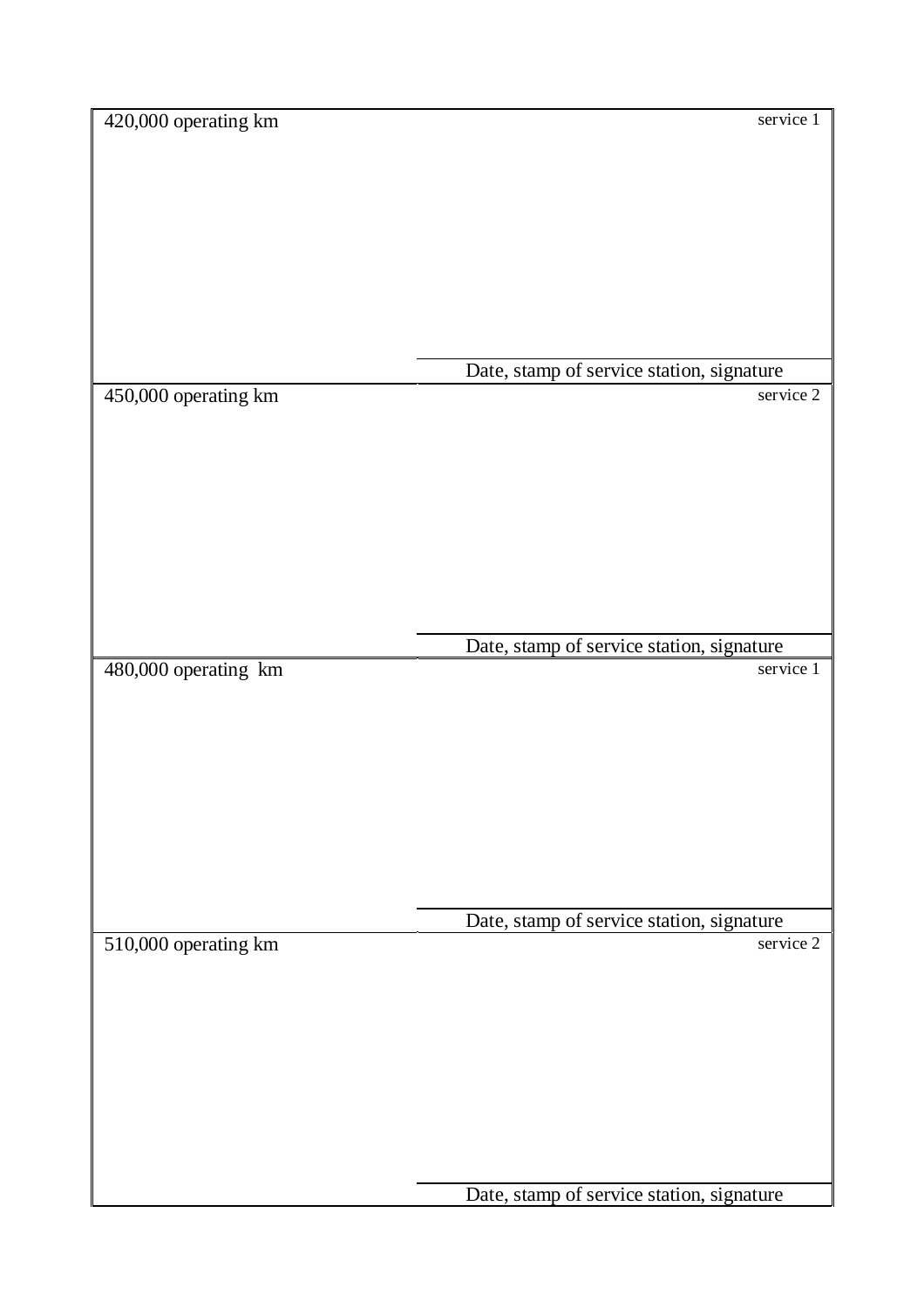| 420,000 operating km | service 1                                 |
|----------------------|-------------------------------------------|
|                      |                                           |
|                      |                                           |
|                      |                                           |
|                      |                                           |
|                      |                                           |
|                      |                                           |
|                      |                                           |
|                      |                                           |
|                      |                                           |
|                      |                                           |
|                      |                                           |
|                      |                                           |
|                      |                                           |
|                      |                                           |
|                      |                                           |
|                      | Date, stamp of service station, signature |
| 450,000 operating km | service 2                                 |
|                      |                                           |
|                      |                                           |
|                      |                                           |
|                      |                                           |
|                      |                                           |
|                      |                                           |
|                      |                                           |
|                      |                                           |
|                      |                                           |
|                      |                                           |
|                      |                                           |
|                      |                                           |
|                      |                                           |
|                      |                                           |
|                      |                                           |
|                      | Date, stamp of service station, signature |
|                      |                                           |
| 480,000 operating km | service 1                                 |
|                      |                                           |
|                      |                                           |
|                      |                                           |
|                      |                                           |
|                      |                                           |
|                      |                                           |
|                      |                                           |
|                      |                                           |
|                      |                                           |
|                      |                                           |
|                      |                                           |
|                      |                                           |
|                      |                                           |
|                      |                                           |
|                      |                                           |
|                      | Date, stamp of service station, signature |
| 510,000 operating km | service 2                                 |
|                      |                                           |
|                      |                                           |
|                      |                                           |
|                      |                                           |
|                      |                                           |
|                      |                                           |
|                      |                                           |
|                      |                                           |
|                      |                                           |
|                      |                                           |
|                      |                                           |
|                      |                                           |
|                      |                                           |
|                      |                                           |
|                      |                                           |
|                      | Date, stamp of service station, signature |
|                      |                                           |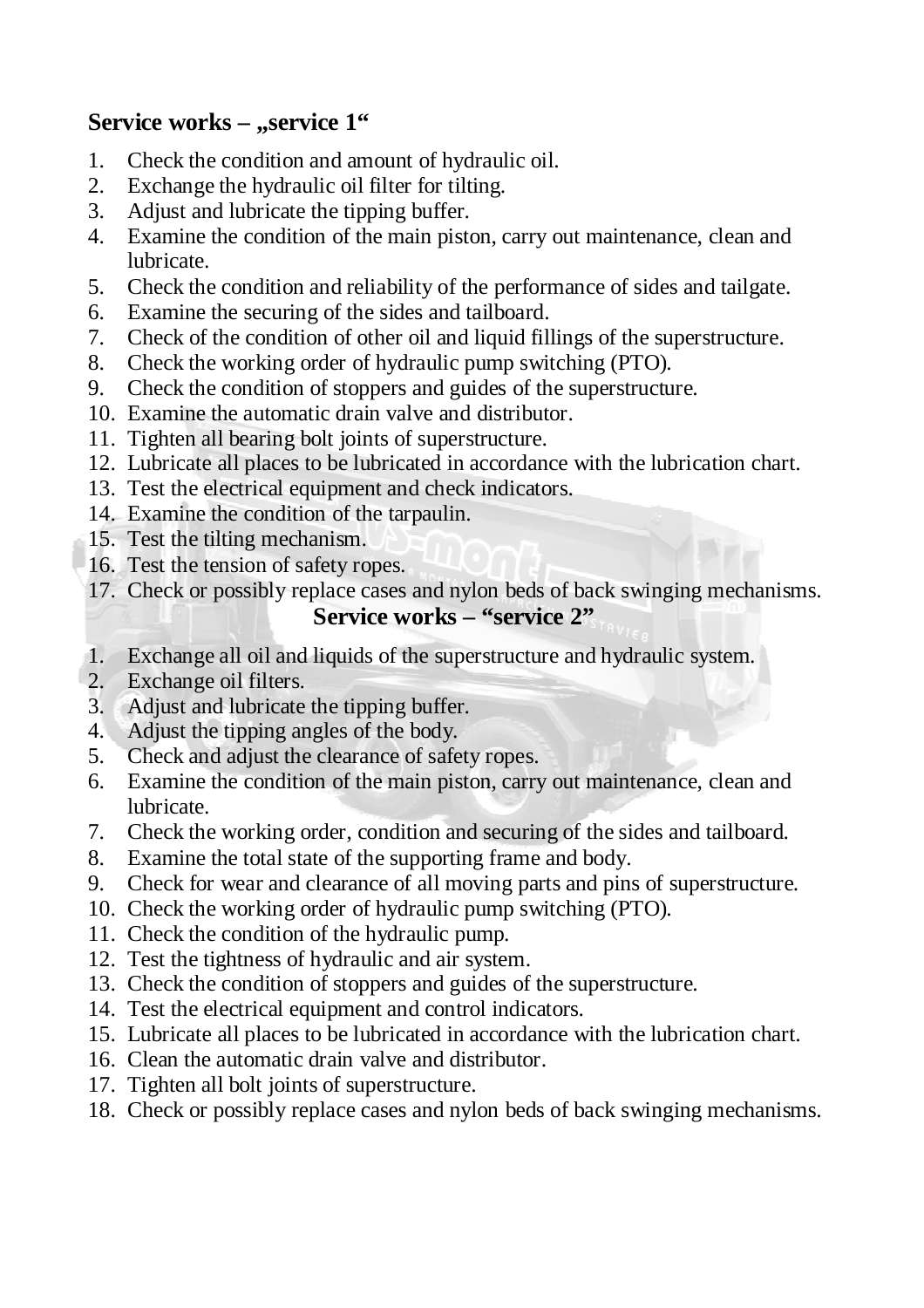# **Service** works – "service 1"

- 1. Check the condition and amount of hydraulic oil.
- 2. Exchange the hydraulic oil filter for tilting.
- 3. Adjust and lubricate the tipping buffer.
- 4. Examine the condition of the main piston, carry out maintenance, clean and lubricate.
- 5. Check the condition and reliability of the performance of sides and tailgate.
- 6. Examine the securing of the sides and tailboard.
- 7. Check of the condition of other oil and liquid fillings of the superstructure.
- 8. Check the working order of hydraulic pump switching (PTO).
- 9. Check the condition of stoppers and guides of the superstructure.
- 10. Examine the automatic drain valve and distributor.
- 11. Tighten all bearing bolt joints of superstructure.
- 12. Lubricate all places to be lubricated in accordance with the lubrication chart.
- 13. Test the electrical equipment and check indicators.
- 14. Examine the condition of the tarpaulin.
- 15. Test the tilting mechanism.
- 16. Test the tension of safety ropes.
- 17. Check or possibly replace cases and nylon beds of back swinging mechanisms.

## **Service works – "service 2"**

- 1. Exchange all oil and liquids of the superstructure and hydraulic system.
- 2. Exchange oil filters.
- 3. Adjust and lubricate the tipping buffer.
- 4. Adjust the tipping angles of the body.
- 5. Check and adjust the clearance of safety ropes.
- 6. Examine the condition of the main piston, carry out maintenance, clean and lubricate.
- 7. Check the working order, condition and securing of the sides and tailboard.
- 8. Examine the total state of the supporting frame and body.
- 9. Check for wear and clearance of all moving parts and pins of superstructure.
- 10. Check the working order of hydraulic pump switching (PTO).
- 11. Check the condition of the hydraulic pump.
- 12. Test the tightness of hydraulic and air system.
- 13. Check the condition of stoppers and guides of the superstructure.
- 14. Test the electrical equipment and control indicators.
- 15. Lubricate all places to be lubricated in accordance with the lubrication chart.
- 16. Clean the automatic drain valve and distributor.
- 17. Tighten all bolt joints of superstructure.
- 18. Check or possibly replace cases and nylon beds of back swinging mechanisms.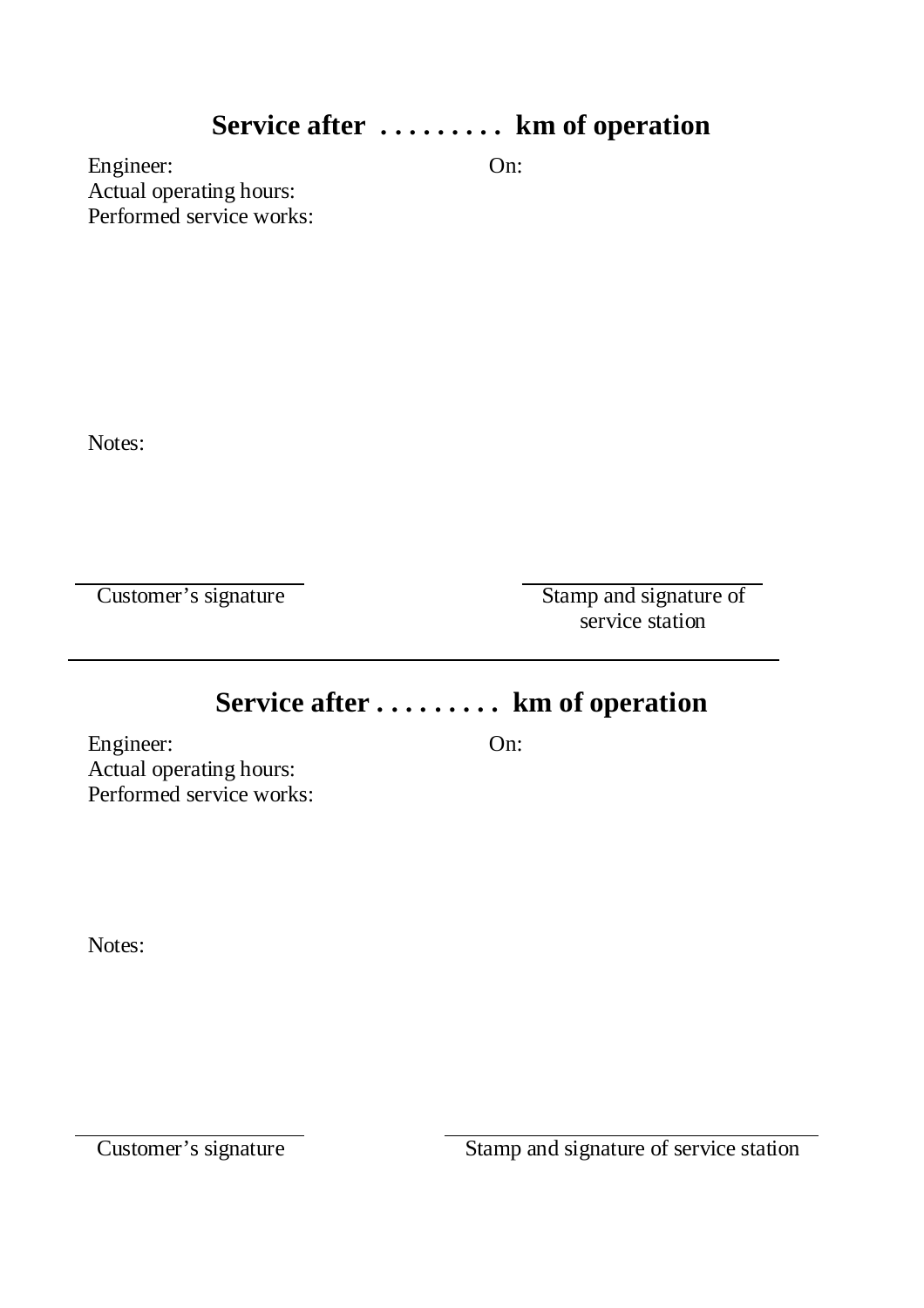# **Service after . . . ..... . km of operation**

Engineer: On: Actual operating hours: Performed service works:

Notes:

Customer's signature Stamp and signature of service station

# **Service after . . . . .... . km of operation**

Engineer: On: Actual operating hours: Performed service works:

Notes: